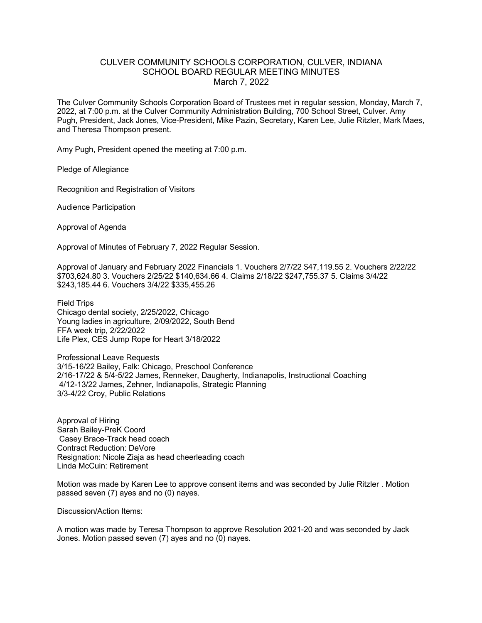## CULVER COMMUNITY SCHOOLS CORPORATION, CULVER, INDIANA SCHOOL BOARD REGULAR MEETING MINUTES March 7, 2022

The Culver Community Schools Corporation Board of Trustees met in regular session, Monday, March 7, 2022, at 7:00 p.m. at the Culver Community Administration Building, 700 School Street, Culver. Amy Pugh, President, Jack Jones, Vice-President, Mike Pazin, Secretary, Karen Lee, Julie Ritzler, Mark Maes, and Theresa Thompson present.

Amy Pugh, President opened the meeting at 7:00 p.m.

Pledge of Allegiance

Recognition and Registration of Visitors

Audience Participation

Approval of Agenda

Approval of Minutes of February 7, 2022 Regular Session.

Approval of January and February 2022 Financials 1. Vouchers 2/7/22 \$47,119.55 2. Vouchers 2/22/22 \$703,624.80 3. Vouchers 2/25/22 \$140,634.66 4. Claims 2/18/22 \$247,755.37 5. Claims 3/4/22 \$243,185.44 6. Vouchers 3/4/22 \$335,455.26

Field Trips Chicago dental society, 2/25/2022, Chicago Young ladies in agriculture, 2/09/2022, South Bend FFA week trip, 2/22/2022 Life Plex, CES Jump Rope for Heart 3/18/2022

Professional Leave Requests 3/15-16/22 Bailey, Falk: Chicago, Preschool Conference 2/16-17/22 & 5/4-5/22 James, Renneker, Daugherty, Indianapolis, Instructional Coaching 4/12-13/22 James, Zehner, Indianapolis, Strategic Planning 3/3-4/22 Croy, Public Relations

Approval of Hiring Sarah Bailey-PreK Coord Casey Brace-Track head coach Contract Reduction: DeVore Resignation: Nicole Ziaja as head cheerleading coach Linda McCuin: Retirement

Motion was made by Karen Lee to approve consent items and was seconded by Julie Ritzler . Motion passed seven (7) ayes and no (0) nayes.

Discussion/Action Items:

A motion was made by Teresa Thompson to approve Resolution 2021-20 and was seconded by Jack Jones. Motion passed seven (7) ayes and no (0) nayes.